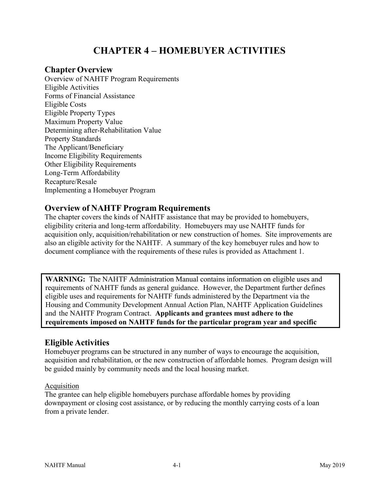# **CHAPTER 4 – HOMEBUYER ACTIVITIES**

### **Chapter Overview**

Overview of NAHTF Program Requirements Eligible Activities Forms of Financial Assistance Eligible Costs Eligible Property Types Maximum Property Value Determining after-Rehabilitation Value Property Standards The Applicant/Beneficiary Income Eligibility Requirements Other Eligibility Requirements Long-Term Affordability Recapture/Resale Implementing a Homebuyer Program

### **Overview of NAHTF Program Requirements**

The chapter covers the kinds of NAHTF assistance that may be provided to homebuyers, eligibility criteria and long-term affordability. Homebuyers may use NAHTF funds for acquisition only, acquisition/rehabilitation or new construction of homes. Site improvements are also an eligible activity for the NAHTF. A summary of the key homebuyer rules and how to document compliance with the requirements of these rules is provided as Attachment 1.

**WARNING:** The NAHTF Administration Manual contains information on eligible uses and requirements of NAHTF funds as general guidance. However, the Department further defines eligible uses and requirements for NAHTF funds administered by the Department via the Housing and Community Development Annual Action Plan, NAHTF Application Guidelines and the NAHTF Program Contract. **Applicants and grantees must adhere to the requirements imposed on NAHTF funds for the particular program year and specific** 

# **Eligible Activities**

Homebuyer programs can be structured in any number of ways to encourage the acquisition, acquisition and rehabilitation, or the new construction of affordable homes. Program design will be guided mainly by community needs and the local housing market.

#### Acquisition

The grantee can help eligible homebuyers purchase affordable homes by providing downpayment or closing cost assistance, or by reducing the monthly carrying costs of a loan from a private lender.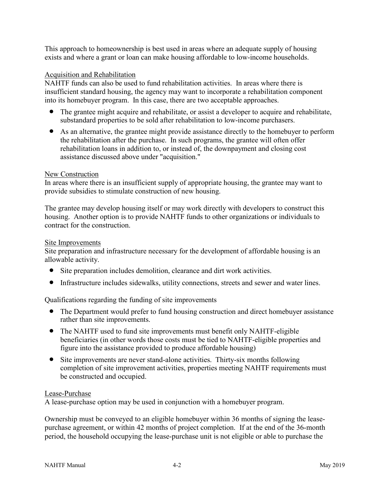This approach to homeownership is best used in areas where an adequate supply of housing exists and where a grant or loan can make housing affordable to low-income households.

#### Acquisition and Rehabilitation

NAHTF funds can also be used to fund rehabilitation activities. In areas where there is insufficient standard housing, the agency may want to incorporate a rehabilitation component into its homebuyer program. In this case, there are two acceptable approaches.

- The grantee might acquire and rehabilitate, or assist a developer to acquire and rehabilitate, substandard properties to be sold after rehabilitation to low-income purchasers.
- As an alternative, the grantee might provide assistance directly to the homebuyer to perform the rehabilitation after the purchase. In such programs, the grantee will often offer rehabilitation loans in addition to, or instead of, the downpayment and closing cost assistance discussed above under "acquisition."

#### New Construction

In areas where there is an insufficient supply of appropriate housing, the grantee may want to provide subsidies to stimulate construction of new housing.

The grantee may develop housing itself or may work directly with developers to construct this housing. Another option is to provide NAHTF funds to other organizations or individuals to contract for the construction.

#### Site Improvements

Site preparation and infrastructure necessary for the development of affordable housing is an allowable activity.

- Site preparation includes demolition, clearance and dirt work activities.
- Infrastructure includes sidewalks, utility connections, streets and sewer and water lines.

Qualifications regarding the funding of site improvements

- The Department would prefer to fund housing construction and direct homebuyer assistance rather than site improvements.
- The NAHTF used to fund site improvements must benefit only NAHTF-eligible beneficiaries (in other words those costs must be tied to NAHTF-eligible properties and figure into the assistance provided to produce affordable housing)
- Site improvements are never stand-alone activities. Thirty-six months following completion of site improvement activities, properties meeting NAHTF requirements must be constructed and occupied.

#### Lease-Purchase

A lease-purchase option may be used in conjunction with a homebuyer program.

Ownership must be conveyed to an eligible homebuyer within 36 months of signing the leasepurchase agreement, or within 42 months of project completion. If at the end of the 36-month period, the household occupying the lease-purchase unit is not eligible or able to purchase the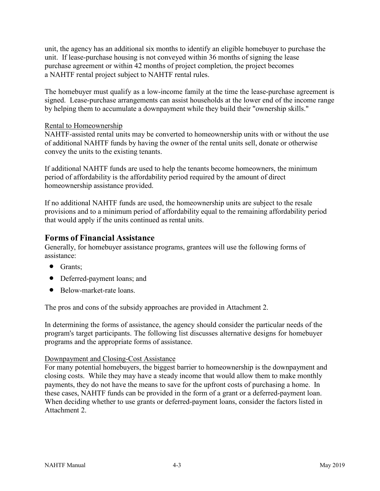unit, the agency has an additional six months to identify an eligible homebuyer to purchase the unit. If lease-purchase housing is not conveyed within 36 months of signing the lease purchase agreement or within 42 months of project completion, the project becomes a NAHTF rental project subject to NAHTF rental rules.

The homebuyer must qualify as a low-income family at the time the lease-purchase agreement is signed. Lease-purchase arrangements can assist households at the lower end of the income range by helping them to accumulate a downpayment while they build their "ownership skills."

#### Rental to Homeownership

NAHTF-assisted rental units may be converted to homeownership units with or without the use of additional NAHTF funds by having the owner of the rental units sell, donate or otherwise convey the units to the existing tenants.

If additional NAHTF funds are used to help the tenants become homeowners, the minimum period of affordability is the affordability period required by the amount of direct homeownership assistance provided.

If no additional NAHTF funds are used, the homeownership units are subject to the resale provisions and to a minimum period of affordability equal to the remaining affordability period that would apply if the units continued as rental units.

### **Forms of Financial Assistance**

Generally, for homebuyer assistance programs, grantees will use the following forms of assistance:

- Grants:
- Deferred-payment loans; and
- Below-market-rate loans.

The pros and cons of the subsidy approaches are provided in Attachment 2.

In determining the forms of assistance, the agency should consider the particular needs of the program's target participants. The following list discusses alternative designs for homebuyer programs and the appropriate forms of assistance.

#### Downpayment and Closing-Cost Assistance

For many potential homebuyers, the biggest barrier to homeownership is the downpayment and closing costs. While they may have a steady income that would allow them to make monthly payments, they do not have the means to save for the upfront costs of purchasing a home. In these cases, NAHTF funds can be provided in the form of a grant or a deferred-payment loan. When deciding whether to use grants or deferred-payment loans, consider the factors listed in Attachment 2.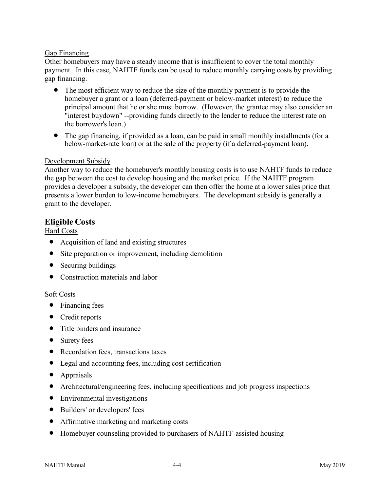#### Gap Financing

Other homebuyers may have a steady income that is insufficient to cover the total monthly payment. In this case, NAHTF funds can be used to reduce monthly carrying costs by providing gap financing.

- The most efficient way to reduce the size of the monthly payment is to provide the homebuyer a grant or a loan (deferred-payment or below-market interest) to reduce the principal amount that he or she must borrow. (However, the grantee may also consider an "interest buydown" --providing funds directly to the lender to reduce the interest rate on the borrower's loan.)
- The gap financing, if provided as a loan, can be paid in small monthly installments (for a below-market-rate loan) or at the sale of the property (if a deferred-payment loan).

#### Development Subsidy

Another way to reduce the homebuyer's monthly housing costs is to use NAHTF funds to reduce the gap between the cost to develop housing and the market price. If the NAHTF program provides a developer a subsidy, the developer can then offer the home at a lower sales price that presents a lower burden to low-income homebuyers. The development subsidy is generally a grant to the developer.

### **Eligible Costs**

#### Hard Costs

- Acquisition of land and existing structures
- Site preparation or improvement, including demolition
- Securing buildings
- Construction materials and labor

#### Soft Costs

- Financing fees
- Credit reports
- Title binders and insurance
- Surety fees
- Recordation fees, transactions taxes
- Legal and accounting fees, including cost certification
- Appraisals
- Architectural/engineering fees, including specifications and job progress inspections
- Environmental investigations
- Builders' or developers' fees
- Affirmative marketing and marketing costs
- Homebuyer counseling provided to purchasers of NAHTF-assisted housing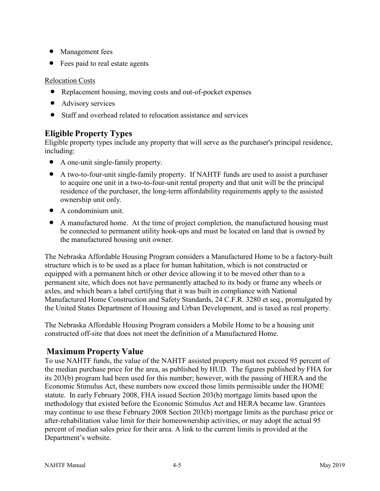- Management fees
- Fees paid to real estate agents

Relocation Costs

- Replacement housing, moving costs and out-of-pocket expenses
- Advisory services
- Staff and overhead related to relocation assistance and services

# **Eligible Property Types**

Eligible property types include any property that will serve as the purchaser's principal residence, including:

- A one-unit single-family property.
- A two-to-four-unit single-family property. If NAHTF funds are used to assist a purchaser to acquire one unit in a two-to-four-unit rental property and that unit will be the principal residence of the purchaser, the long-term affordability requirements apply to the assisted ownership unit only.
- A condominium unit.
- A manufactured home. At the time of project completion, the manufactured housing must be connected to permanent utility hook-ups and must be located on land that is owned by the manufactured housing unit owner.

The Nebraska Affordable Housing Program considers a Manufactured Home to be a factory-built structure which is to be used as a place for human habitation, which is not constructed or equipped with a permanent hitch or other device allowing it to be moved other than to a permanent site, which does not have permanently attached to its body or frame any wheels or axles, and which bears a label certifying that it was built in compliance with National Manufactured Home Construction and Safety Standards, 24 C.F.R. 3280 et seq., promulgated by the United States Department of Housing and Urban Development, and is taxed as real property.

The Nebraska Affordable Housing Program considers a Mobile Home to be a housing unit constructed off-site that does not meet the definition of a Manufactured Home.

# **Maximum Property Value**

To use NAHTF funds, the value of the NAHTF assisted property must not exceed 95 percent of the median purchase price for the area, as published by HUD. The figures published by FHA for its 203(b) program had been used for this number; however, with the passing of HERA and the Economic Stimulus Act, these numbers now exceed those limits permissible under the HOME statute. In early February 2008, FHA issued Section 203(b) mortgage limits based upon the methodology that existed before the Economic Stimulus Act and HERA became law. Grantees may continue to use these February 2008 Section 203(b) mortgage limits as the purchase price or after-rehabilitation value limit for their homeownership activities, or may adopt the actual 95 percent of median sales price for their area. A link to the current limits is provided at the Department's website.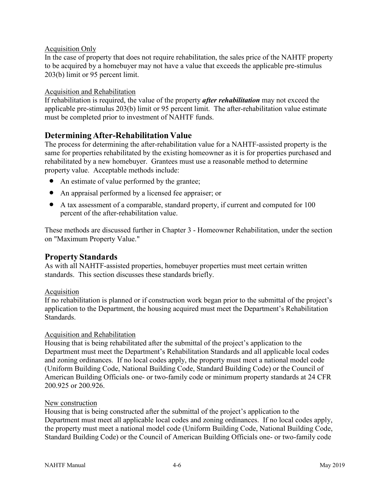#### Acquisition Only

In the case of property that does not require rehabilitation, the sales price of the NAHTF property to be acquired by a homebuyer may not have a value that exceeds the applicable pre-stimulus 203(b) limit or 95 percent limit.

#### Acquisition and Rehabilitation

If rehabilitation is required, the value of the property *after rehabilitation* may not exceed the applicable pre-stimulus 203(b) limit or 95 percent limit. The after-rehabilitation value estimate must be completed prior to investment of NAHTF funds.

### **Determining After-Rehabilitation Value**

The process for determining the after-rehabilitation value for a NAHTF-assisted property is the same for properties rehabilitated by the existing homeowner as it is for properties purchased and rehabilitated by a new homebuyer. Grantees must use a reasonable method to determine property value. Acceptable methods include:

- An estimate of value performed by the grantee;
- An appraisal performed by a licensed fee appraiser; or
- A tax assessment of a comparable, standard property, if current and computed for 100 percent of the after-rehabilitation value.

These methods are discussed further in Chapter 3 - Homeowner Rehabilitation, under the section on "Maximum Property Value."

### **Property Standards**

As with all NAHTF-assisted properties, homebuyer properties must meet certain written standards. This section discusses these standards briefly.

#### Acquisition

If no rehabilitation is planned or if construction work began prior to the submittal of the project's application to the Department, the housing acquired must meet the Department's Rehabilitation Standards.

#### Acquisition and Rehabilitation

Housing that is being rehabilitated after the submittal of the project's application to the Department must meet the Department's Rehabilitation Standards and all applicable local codes and zoning ordinances. If no local codes apply, the property must meet a national model code (Uniform Building Code, National Building Code, Standard Building Code) or the Council of American Building Officials one- or two-family code or minimum property standards at 24 CFR 200.925 or 200.926.

#### New construction

Housing that is being constructed after the submittal of the project's application to the Department must meet all applicable local codes and zoning ordinances. If no local codes apply, the property must meet a national model code (Uniform Building Code, National Building Code, Standard Building Code) or the Council of American Building Officials one- or two-family code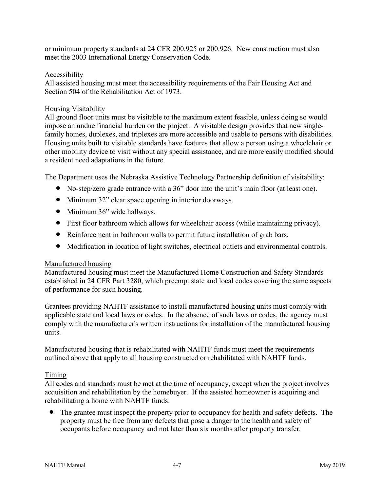or minimum property standards at 24 CFR 200.925 or 200.926. New construction must also meet the 2003 International Energy Conservation Code.

#### Accessibility

All assisted housing must meet the accessibility requirements of the Fair Housing Act and Section 504 of the Rehabilitation Act of 1973.

#### Housing Visitability

All ground floor units must be visitable to the maximum extent feasible, unless doing so would impose an undue financial burden on the project. A visitable design provides that new singlefamily homes, duplexes, and triplexes are more accessible and usable to persons with disabilities. Housing units built to visitable standards have features that allow a person using a wheelchair or other mobility device to visit without any special assistance, and are more easily modified should a resident need adaptations in the future.

The Department uses the Nebraska Assistive Technology Partnership definition of visitability:

- No-step/zero grade entrance with a 36" door into the unit's main floor (at least one).
- Minimum 32" clear space opening in interior doorways.
- Minimum 36" wide hallways.
- First floor bathroom which allows for wheelchair access (while maintaining privacy).
- Reinforcement in bathroom walls to permit future installation of grab bars.
- Modification in location of light switches, electrical outlets and environmental controls.

#### Manufactured housing

Manufactured housing must meet the Manufactured Home Construction and Safety Standards established in 24 CFR Part 3280, which preempt state and local codes covering the same aspects of performance for such housing.

Grantees providing NAHTF assistance to install manufactured housing units must comply with applicable state and local laws or codes. In the absence of such laws or codes, the agency must comply with the manufacturer's written instructions for installation of the manufactured housing units.

Manufactured housing that is rehabilitated with NAHTF funds must meet the requirements outlined above that apply to all housing constructed or rehabilitated with NAHTF funds.

#### Timing

All codes and standards must be met at the time of occupancy, except when the project involves acquisition and rehabilitation by the homebuyer. If the assisted homeowner is acquiring and rehabilitating a home with NAHTF funds:

• The grantee must inspect the property prior to occupancy for health and safety defects. The property must be free from any defects that pose a danger to the health and safety of occupants before occupancy and not later than six months after property transfer.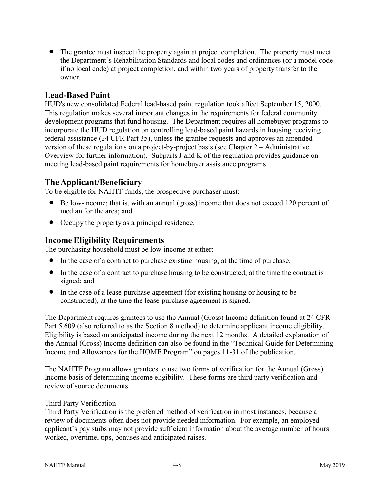• The grantee must inspect the property again at project completion. The property must meet the Department's Rehabilitation Standards and local codes and ordinances (or a model code if no local code) at project completion, and within two years of property transfer to the owner.

### **Lead-Based Paint**

HUD's new consolidated Federal lead-based paint regulation took affect September 15, 2000. This regulation makes several important changes in the requirements for federal community development programs that fund housing. The Department requires all homebuyer programs to incorporate the HUD regulation on controlling lead-based paint hazards in housing receiving federal-assistance (24 CFR Part 35), unless the grantee requests and approves an amended version of these regulations on a project-by-project basis (see Chapter 2 – Administrative Overview for further information). Subparts J and K of the regulation provides guidance on meeting lead-based paint requirements for homebuyer assistance programs.

### **TheApplicant/Beneficiary**

To be eligible for NAHTF funds, the prospective purchaser must:

- Be low-income; that is, with an annual (gross) income that does not exceed 120 percent of median for the area; and
- Occupy the property as a principal residence.

### **Income Eligibility Requirements**

The purchasing household must be low-income at either:

- In the case of a contract to purchase existing housing, at the time of purchase;
- In the case of a contract to purchase housing to be constructed, at the time the contract is signed; and
- In the case of a lease-purchase agreement (for existing housing or housing to be constructed), at the time the lease-purchase agreement is signed.

The Department requires grantees to use the Annual (Gross) Income definition found at 24 CFR Part 5.609 (also referred to as the Section 8 method) to determine applicant income eligibility. Eligibility is based on anticipated income during the next 12 months. A detailed explanation of the Annual (Gross) Income definition can also be found in the "Technical Guide for Determining Income and Allowances for the HOME Program" on pages 11-31 of the publication.

The NAHTF Program allows grantees to use two forms of verification for the Annual (Gross) Income basis of determining income eligibility. These forms are third party verification and review of source documents.

#### Third Party Verification

Third Party Verification is the preferred method of verification in most instances, because a review of documents often does not provide needed information. For example, an employed applicant's pay stubs may not provide sufficient information about the average number of hours worked, overtime, tips, bonuses and anticipated raises.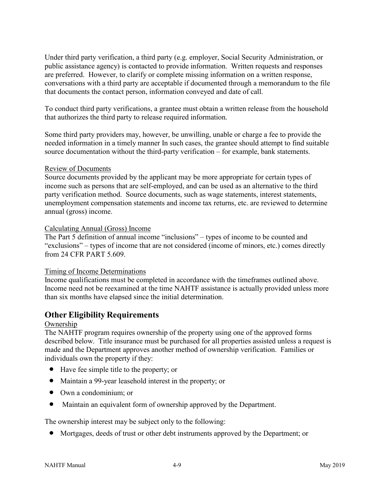Under third party verification, a third party (e.g. employer, Social Security Administration, or public assistance agency) is contacted to provide information. Written requests and responses are preferred. However, to clarify or complete missing information on a written response, conversations with a third party are acceptable if documented through a memorandum to the file that documents the contact person, information conveyed and date of call.

To conduct third party verifications, a grantee must obtain a written release from the household that authorizes the third party to release required information.

Some third party providers may, however, be unwilling, unable or charge a fee to provide the needed information in a timely manner In such cases, the grantee should attempt to find suitable source documentation without the third-party verification – for example, bank statements.

#### Review of Documents

Source documents provided by the applicant may be more appropriate for certain types of income such as persons that are self-employed, and can be used as an alternative to the third party verification method. Source documents, such as wage statements, interest statements, unemployment compensation statements and income tax returns, etc. are reviewed to determine annual (gross) income.

#### Calculating Annual (Gross) Income

The Part 5 definition of annual income "inclusions" – types of income to be counted and "exclusions" – types of income that are not considered (income of minors, etc.) comes directly from 24 CFR PART 5.609.

#### Timing of Income Determinations

Income qualifications must be completed in accordance with the timeframes outlined above. Income need not be reexamined at the time NAHTF assistance is actually provided unless more than six months have elapsed since the initial determination.

### **Other Eligibility Requirements**

#### Ownership

The NAHTF program requires ownership of the property using one of the approved forms described below. Title insurance must be purchased for all properties assisted unless a request is made and the Department approves another method of ownership verification. Families or individuals own the property if they:

- Have fee simple title to the property; or
- Maintain a 99-year leasehold interest in the property; or
- Own a condominium; or
- Maintain an equivalent form of ownership approved by the Department.

The ownership interest may be subject only to the following:

• Mortgages, deeds of trust or other debt instruments approved by the Department; or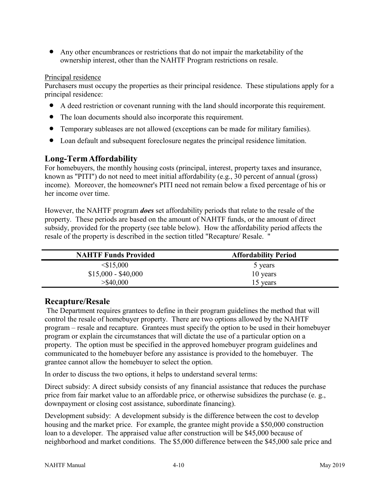• Any other encumbrances or restrictions that do not impair the marketability of the ownership interest, other than the NAHTF Program restrictions on resale.

#### Principal residence

Purchasers must occupy the properties as their principal residence. These stipulations apply for a principal residence:

- A deed restriction or covenant running with the land should incorporate this requirement.
- The loan documents should also incorporate this requirement.
- Temporary subleases are not allowed (exceptions can be made for military families).
- Loan default and subsequent foreclosure negates the principal residence limitation.

### **Long-TermAffordability**

For homebuyers, the monthly housing costs (principal, interest, property taxes and insurance, known as "PITI") do not need to meet initial affordability (e.g., 30 percent of annual (gross) income). Moreover, the homeowner's PITI need not remain below a fixed percentage of his or her income over time.

However, the NAHTF program *does* set affordability periods that relate to the resale of the property. These periods are based on the amount of NAHTF funds, or the amount of direct subsidy, provided for the property (see table below). How the affordability period affects the resale of the property is described in the section titled "Recapture/ Resale. "

| <b>NAHTF Funds Provided</b> | <b>Affordability Period</b> |
|-----------------------------|-----------------------------|
| $<$ \$15,000                | 5 years                     |
| $$15,000 - $40,000$         | 10 years                    |
| $>$ \$40,000                | 15 years                    |

### **Recapture/Resale**

The Department requires grantees to define in their program guidelines the method that will control the resale of homebuyer property. There are two options allowed by the NAHTF program – resale and recapture. Grantees must specify the option to be used in their homebuyer program or explain the circumstances that will dictate the use of a particular option on a property. The option must be specified in the approved homebuyer program guidelines and communicated to the homebuyer before any assistance is provided to the homebuyer. The grantee cannot allow the homebuyer to select the option.

In order to discuss the two options, it helps to understand several terms:

Direct subsidy: A direct subsidy consists of any financial assistance that reduces the purchase price from fair market value to an affordable price, or otherwise subsidizes the purchase (e. g., downpayment or closing cost assistance, subordinate financing).

Development subsidy: A development subsidy is the difference between the cost to develop housing and the market price. For example, the grantee might provide a \$50,000 construction loan to a developer. The appraised value after construction will be \$45,000 because of neighborhood and market conditions. The \$5,000 difference between the \$45,000 sale price and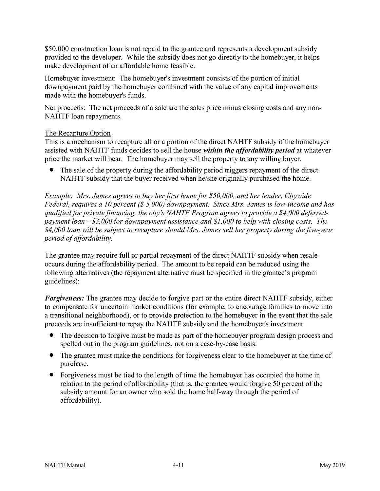\$50,000 construction loan is not repaid to the grantee and represents a development subsidy provided to the developer. While the subsidy does not go directly to the homebuyer, it helps make development of an affordable home feasible.

Homebuyer investment: The homebuyer's investment consists of the portion of initial downpayment paid by the homebuyer combined with the value of any capital improvements made with the homebuyer's funds.

Net proceeds: The net proceeds of a sale are the sales price minus closing costs and any non-NAHTF loan repayments.

#### The Recapture Option

This is a mechanism to recapture all or a portion of the direct NAHTF subsidy if the homebuyer assisted with NAHTF funds decides to sell the house *within the affordability period* at whatever price the market will bear. The homebuyer may sell the property to any willing buyer.

The sale of the property during the affordability period triggers repayment of the direct NAHTF subsidy that the buyer received when he/she originally purchased the home.

*Example: Mrs. James agrees to buy her first home for \$50,000, and her lender, Citywide Federal, requires a 10 percent (\$ 5,000) downpayment. Since Mrs. James is low-income and has qualified for private financing, the city's NAHTF Program agrees to provide a \$4,000 deferredpayment loan --\$3,000 for downpayment assistance and \$1,000 to help with closing costs. The \$4,000 loan will be subject to recapture should Mrs. James sell her property during the five-year period of affordability.*

The grantee may require full or partial repayment of the direct NAHTF subsidy when resale occurs during the affordability period. The amount to be repaid can be reduced using the following alternatives (the repayment alternative must be specified in the grantee's program guidelines):

*Forgiveness:* The grantee may decide to forgive part or the entire direct NAHTF subsidy, either to compensate for uncertain market conditions (for example, to encourage families to move into a transitional neighborhood), or to provide protection to the homebuyer in the event that the sale proceeds are insufficient to repay the NAHTF subsidy and the homebuyer's investment.

- The decision to forgive must be made as part of the homebuyer program design process and spelled out in the program guidelines, not on a case-by-case basis.
- The grantee must make the conditions for forgiveness clear to the homebuyer at the time of purchase.
- Forgiveness must be tied to the length of time the homebuyer has occupied the home in relation to the period of affordability (that is, the grantee would forgive 50 percent of the subsidy amount for an owner who sold the home half-way through the period of affordability).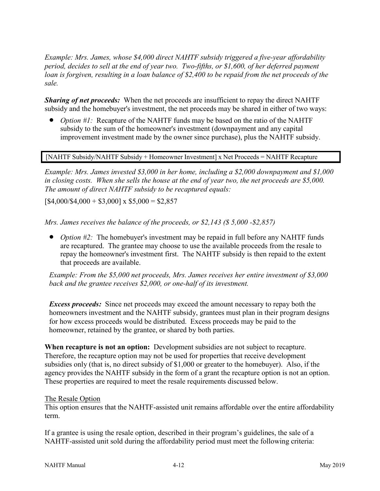*Example: Mrs. James, whose \$4,000 direct NAHTF subsidy triggered a five-year affordability period, decides to sell at the end of year two. Two-fifths, or \$1,600, of her deferred payment loan is forgiven, resulting in a loan balance of \$2,400 to be repaid from the net proceeds of the sale.*

*Sharing of net proceeds:* When the net proceeds are insufficient to repay the direct NAHTF subsidy and the homebuyer's investment, the net proceeds may be shared in either of two ways:

• *Option #1:* Recapture of the NAHTF funds may be based on the ratio of the NAHTF subsidy to the sum of the homeowner's investment (downpayment and any capital improvement investment made by the owner since purchase), plus the NAHTF subsidy.

[NAHTF Subsidy/NAHTF Subsidy + Homeowner Investment] x Net Proceeds = NAHTF Recapture

*Example: Mrs. James invested \$3,000 in her home, including a \$2,000 downpayment and \$1,000 in closing costs. When she sells the house at the end of year two, the net proceeds are \$5,000. The amount of direct NAHTF subsidy to be recaptured equals:*

 $[$4,000/$4,000 + $3,000] \times $5,000 = $2,857$ 

*Mrs. James receives the balance of the proceeds, or \$2,143 (\$ 5,000 -\$2,857)*

• *Option #2:* The homebuyer's investment may be repaid in full before any NAHTF funds are recaptured. The grantee may choose to use the available proceeds from the resale to repay the homeowner's investment first. The NAHTF subsidy is then repaid to the extent that proceeds are available.

*Example: From the \$5,000 net proceeds, Mrs. James receives her entire investment of \$3,000 back and the grantee receives \$2,000, or one-half of its investment.*

*Excess proceeds:* Since net proceeds may exceed the amount necessary to repay both the homeowners investment and the NAHTF subsidy, grantees must plan in their program designs for how excess proceeds would be distributed. Excess proceeds may be paid to the homeowner, retained by the grantee, or shared by both parties.

**When recapture is not an option:** Development subsidies are not subject to recapture. Therefore, the recapture option may not be used for properties that receive development subsidies only (that is, no direct subsidy of \$1,000 or greater to the homebuyer). Also, if the agency provides the NAHTF subsidy in the form of a grant the recapture option is not an option. These properties are required to meet the resale requirements discussed below.

#### The Resale Option

This option ensures that the NAHTF-assisted unit remains affordable over the entire affordability term.

If a grantee is using the resale option, described in their program's guidelines, the sale of a NAHTF-assisted unit sold during the affordability period must meet the following criteria: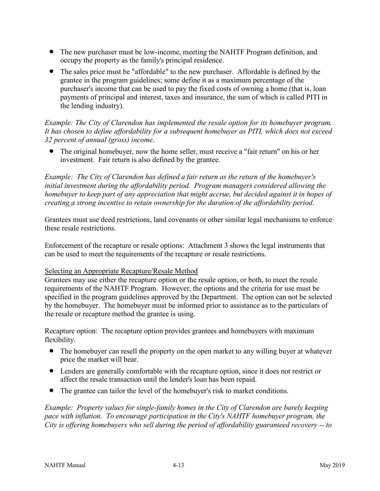- The new purchaser must be low-income, meeting the NAHTF Program definition, and occupy the property as the family's principal residence.
- The sales price must be "affordable" to the new purchaser. Affordable is defined by the grantee in the program guidelines; some define it as a maximum percentage of the purchaser's income that can be used to pay the fixed costs of owning a home (that is, loan payments of principal and interest, taxes and insurance, the sum of which is called PITI in the lending industry).

#### *Example: The City of Clarendon has implemented the resale option for its homebuyer program. It has chosen to define affordability for a subsequent homebuyer as PITI, which does not exceed 32 percent of annual (gross) income*.

• The original homebuyer, now the home seller, must receive a "fair return" on his or her investment. Fair return is also defined by the grantee.

*Example: The City of Clarendon has defined a fair return as the return of the homebuyer's initial investment during the affordability period. Program managers considered allowing the homebuyer to keep part of any appreciation that might accrue, but decided against it in hopes of creating a strong incentive to retain ownership for the duration of the affordability period.*

Grantees must use deed restrictions, land covenants or other similar legal mechanisms to enforce these resale restrictions.

Enforcement of the recapture or resale options: Attachment 3 shows the legal instruments that can be used to meet the requirements of the recapture or resale restrictions.

#### Selecting an Appropriate Recapture/Resale Method

Grantees may use either the recapture option or the resale option, or both, to meet the resale requirements of the NAHTF Program. However, the options and the criteria for use must be specified in the program guidelines approved by the Department. The option can not be selected by the homebuyer. The homebuyer must be informed prior to assistance as to the particulars of the resale or recapture method the grantee is using.

Recapture option: The recapture option provides grantees and homebuyers with maximum flexibility.

- The homebuyer can resell the property on the open market to any willing buyer at whatever price the market will bear.
- Lenders are generally comfortable with the recapture option, since it does not restrict or affect the resale transaction until the lender's loan has been repaid.
- The grantee can tailor the level of the homebuyer's risk to market conditions.

*Example: Property values for single-family homes in the City of Clarendon are barely keeping pace with inflation. To encourage participation in the City's NAHTF homebuyer program, the City is offering homebuyers who sell during the period of affordability guaranteed recovery -- to*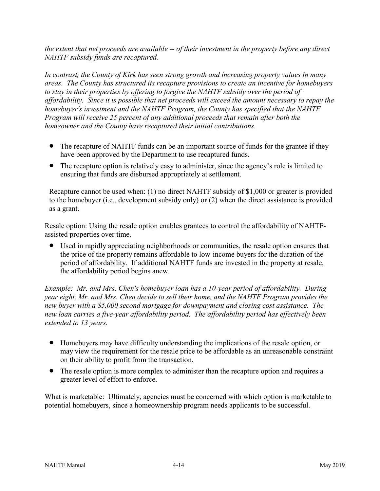*the extent that net proceeds are available -- of their investment in the property before any direct NAHTF subsidy funds are recaptured.*

*In contrast, the County of Kirk has seen strong growth and increasing property values in many areas. The County has structured its recapture provisions to create an incentive for homebuyers to stay in their properties by offering to forgive the NAHTF subsidy over the period of affordability. Since it is possible that net proceeds will exceed the amount necessary to repay the homebuyer's investment and the NAHTF Program, the County has specified that the NAHTF Program will receive 25 percent of any additional proceeds that remain after both the homeowner and the County have recaptured their initial contributions.*

- The recapture of NAHTF funds can be an important source of funds for the grantee if they have been approved by the Department to use recaptured funds.
- The recapture option is relatively easy to administer, since the agency's role is limited to ensuring that funds are disbursed appropriately at settlement.

Recapture cannot be used when: (1) no direct NAHTF subsidy of \$1,000 or greater is provided to the homebuyer (i.e., development subsidy only) or (2) when the direct assistance is provided as a grant.

Resale option: Using the resale option enables grantees to control the affordability of NAHTFassisted properties over time.

• Used in rapidly appreciating neighborhoods or communities, the resale option ensures that the price of the property remains affordable to low-income buyers for the duration of the period of affordability. If additional NAHTF funds are invested in the property at resale, the affordability period begins anew.

*Example: Mr. and Mrs. Chen's homebuyer loan has a 10-year period of affordability. During year eight, Mr. and Mrs. Chen decide to sell their home, and the NAHTF Program provides the new buyer with a \$5,000 second mortgage for downpayment and closing cost assistance. The new loan carries a five-year affordability period. The affordability period has effectively been extended to 13 years.*

- Homebuyers may have difficulty understanding the implications of the resale option, or may view the requirement for the resale price to be affordable as an unreasonable constraint on their ability to profit from the transaction.
- The resale option is more complex to administer than the recapture option and requires a greater level of effort to enforce.

What is marketable: Ultimately, agencies must be concerned with which option is marketable to potential homebuyers, since a homeownership program needs applicants to be successful.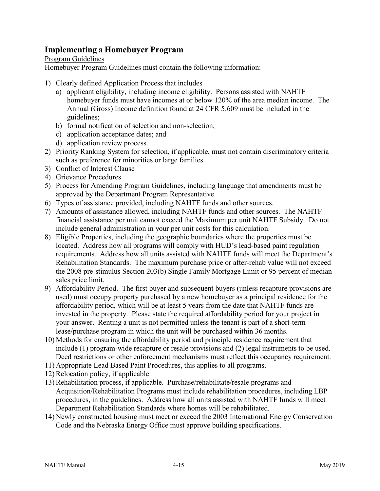# **Implementing a Homebuyer Program**

#### Program Guidelines

Homebuyer Program Guidelines must contain the following information:

- 1) Clearly defined Application Process that includes
	- a) applicant eligibility, including income eligibility. Persons assisted with NAHTF homebuyer funds must have incomes at or below 120% of the area median income. The Annual (Gross) Income definition found at 24 CFR 5.609 must be included in the guidelines;
	- b) formal notification of selection and non-selection;
	- c) application acceptance dates; and
	- d) application review process.
- 2) Priority Ranking System for selection, if applicable, must not contain discriminatory criteria such as preference for minorities or large families.
- 3) Conflict of Interest Clause
- 4) Grievance Procedures
- 5) Process for Amending Program Guidelines, including language that amendments must be approved by the Department Program Representative
- 6) Types of assistance provided, including NAHTF funds and other sources.
- 7) Amounts of assistance allowed, including NAHTF funds and other sources. The NAHTF financial assistance per unit cannot exceed the Maximum per unit NAHTF Subsidy. Do not include general administration in your per unit costs for this calculation.
- 8) Eligible Properties, including the geographic boundaries where the properties must be located. Address how all programs will comply with HUD's lead-based paint regulation requirements. Address how all units assisted with NAHTF funds will meet the Department's Rehabilitation Standards. The maximum purchase price or after-rehab value will not exceed the 2008 pre-stimulus Section 203(b) Single Family Mortgage Limit or 95 percent of median sales price limit.
- 9) Affordability Period. The first buyer and subsequent buyers (unless recapture provisions are used) must occupy property purchased by a new homebuyer as a principal residence for the affordability period, which will be at least 5 years from the date that NAHTF funds are invested in the property. Please state the required affordability period for your project in your answer. Renting a unit is not permitted unless the tenant is part of a short-term lease/purchase program in which the unit will be purchased within 36 months.
- 10) Methods for ensuring the affordability period and principle residence requirement that include (1) program-wide recapture or resale provisions and (2) legal instruments to be used. Deed restrictions or other enforcement mechanisms must reflect this occupancy requirement.
- 11) Appropriate Lead Based Paint Procedures, this applies to all programs.

12) Relocation policy, if applicable

- 13) Rehabilitation process, if applicable. Purchase/rehabilitate/resale programs and Acquisition/Rehabilitation Programs must include rehabilitation procedures, including LBP procedures, in the guidelines. Address how all units assisted with NAHTF funds will meet Department Rehabilitation Standards where homes will be rehabilitated.
- 14) Newly constructed housing must meet or exceed the 2003 International Energy Conservation Code and the Nebraska Energy Office must approve building specifications.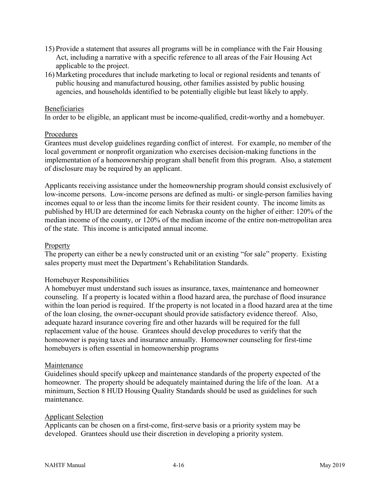- 15) Provide a statement that assures all programs will be in compliance with the Fair Housing Act, including a narrative with a specific reference to all areas of the Fair Housing Act applicable to the project.
- 16) Marketing procedures that include marketing to local or regional residents and tenants of public housing and manufactured housing, other families assisted by public housing agencies, and households identified to be potentially eligible but least likely to apply.

#### Beneficiaries

In order to be eligible, an applicant must be income-qualified, credit-worthy and a homebuyer.

#### Procedures

Grantees must develop guidelines regarding conflict of interest. For example, no member of the local government or nonprofit organization who exercises decision-making functions in the implementation of a homeownership program shall benefit from this program. Also, a statement of disclosure may be required by an applicant.

Applicants receiving assistance under the homeownership program should consist exclusively of low-income persons. Low-income persons are defined as multi- or single-person families having incomes equal to or less than the income limits for their resident county. The income limits as published by HUD are determined for each Nebraska county on the higher of either: 120% of the median income of the county, or 120% of the median income of the entire non-metropolitan area of the state. This income is anticipated annual income.

#### Property

The property can either be a newly constructed unit or an existing "for sale" property. Existing sales property must meet the Department's Rehabilitation Standards.

#### Homebuyer Responsibilities

A homebuyer must understand such issues as insurance, taxes, maintenance and homeowner counseling. If a property is located within a flood hazard area, the purchase of flood insurance within the loan period is required. If the property is not located in a flood hazard area at the time of the loan closing, the owner-occupant should provide satisfactory evidence thereof. Also, adequate hazard insurance covering fire and other hazards will be required for the full replacement value of the house. Grantees should develop procedures to verify that the homeowner is paying taxes and insurance annually. Homeowner counseling for first-time homebuyers is often essential in homeownership programs

#### Maintenance

Guidelines should specify upkeep and maintenance standards of the property expected of the homeowner. The property should be adequately maintained during the life of the loan. At a minimum, Section 8 HUD Housing Quality Standards should be used as guidelines for such maintenance.

#### Applicant Selection

Applicants can be chosen on a first-come, first-serve basis or a priority system may be developed. Grantees should use their discretion in developing a priority system.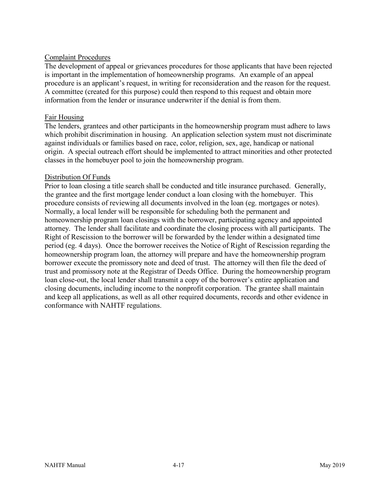#### Complaint Procedures

The development of appeal or grievances procedures for those applicants that have been rejected is important in the implementation of homeownership programs. An example of an appeal procedure is an applicant's request, in writing for reconsideration and the reason for the request. A committee (created for this purpose) could then respond to this request and obtain more information from the lender or insurance underwriter if the denial is from them.

#### Fair Housing

The lenders, grantees and other participants in the homeownership program must adhere to laws which prohibit discrimination in housing. An application selection system must not discriminate against individuals or families based on race, color, religion, sex, age, handicap or national origin. A special outreach effort should be implemented to attract minorities and other protected classes in the homebuyer pool to join the homeownership program.

#### Distribution Of Funds

Prior to loan closing a title search shall be conducted and title insurance purchased. Generally, the grantee and the first mortgage lender conduct a loan closing with the homebuyer. This procedure consists of reviewing all documents involved in the loan (eg. mortgages or notes). Normally, a local lender will be responsible for scheduling both the permanent and homeownership program loan closings with the borrower, participating agency and appointed attorney. The lender shall facilitate and coordinate the closing process with all participants. The Right of Rescission to the borrower will be forwarded by the lender within a designated time period (eg. 4 days). Once the borrower receives the Notice of Right of Rescission regarding the homeownership program loan, the attorney will prepare and have the homeownership program borrower execute the promissory note and deed of trust. The attorney will then file the deed of trust and promissory note at the Registrar of Deeds Office. During the homeownership program loan close-out, the local lender shall transmit a copy of the borrower's entire application and closing documents, including income to the nonprofit corporation. The grantee shall maintain and keep all applications, as well as all other required documents, records and other evidence in conformance with NAHTF regulations.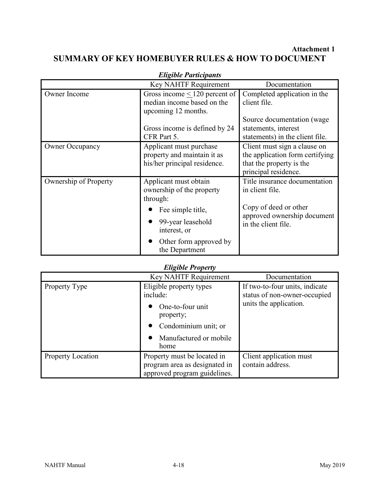# **Attachment 1 SUMMARY OF KEY HOMEBUYER RULES & HOW TO DOCUMENT**

| Lugible 1 anticipants  |                                                                                        |                                                                                                                     |
|------------------------|----------------------------------------------------------------------------------------|---------------------------------------------------------------------------------------------------------------------|
|                        | Key NAHTF Requirement                                                                  | Documentation                                                                                                       |
| Owner Income           | Gross income $\leq 120$ percent of<br>median income based on the                       | Completed application in the<br>client file.                                                                        |
|                        | upcoming 12 months.<br>Gross income is defined by 24<br>CFR Part 5.                    | Source documentation (wage<br>statements, interest<br>statements) in the client file.                               |
| <b>Owner Occupancy</b> | Applicant must purchase<br>property and maintain it as<br>his/her principal residence. | Client must sign a clause on<br>the application form certifying<br>that the property is the<br>principal residence. |
| Ownership of Property  | Applicant must obtain<br>ownership of the property<br>through:                         | Title insurance documentation<br>in client file.<br>Copy of deed or other                                           |
|                        | Fee simple title,<br>99-year leasehold<br>interest, or                                 | approved ownership document<br>in the client file.                                                                  |
|                        | Other form approved by<br>the Department                                               |                                                                                                                     |

#### *Eligible Participants*

## *Eligible Property*

|                          | Key NAHTF Requirement                                                                                                          | Documentation                                                                            |
|--------------------------|--------------------------------------------------------------------------------------------------------------------------------|------------------------------------------------------------------------------------------|
| Property Type            | Eligible property types<br>include:<br>One-to-four unit<br>property;<br>Condominium unit; or<br>Manufactured or mobile<br>home | If two-to-four units, indicate<br>status of non-owner-occupied<br>units the application. |
| <b>Property Location</b> | Property must be located in<br>program area as designated in<br>approved program guidelines.                                   | Client application must<br>contain address.                                              |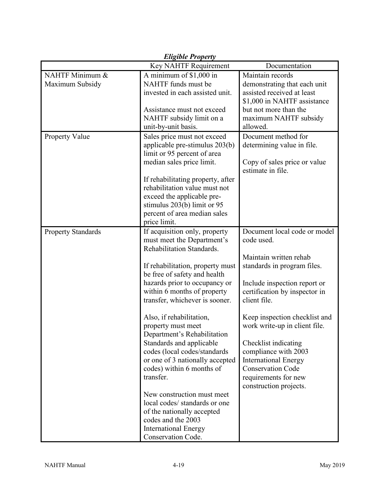| <b>Eligible Property</b>               |                                                                                                                                                                                                                                                                                                                                                                                                                                                                                                                                                                                                                                                                  |                                                                                                                                                                                                                                                                                                                                                                                                                     |  |
|----------------------------------------|------------------------------------------------------------------------------------------------------------------------------------------------------------------------------------------------------------------------------------------------------------------------------------------------------------------------------------------------------------------------------------------------------------------------------------------------------------------------------------------------------------------------------------------------------------------------------------------------------------------------------------------------------------------|---------------------------------------------------------------------------------------------------------------------------------------------------------------------------------------------------------------------------------------------------------------------------------------------------------------------------------------------------------------------------------------------------------------------|--|
| Key NAHTF Requirement<br>Documentation |                                                                                                                                                                                                                                                                                                                                                                                                                                                                                                                                                                                                                                                                  |                                                                                                                                                                                                                                                                                                                                                                                                                     |  |
| NAHTF Minimum &<br>Maximum Subsidy     | A minimum of \$1,000 in<br>NAHTF funds must be<br>invested in each assisted unit.                                                                                                                                                                                                                                                                                                                                                                                                                                                                                                                                                                                | Maintain records<br>demonstrating that each unit<br>assisted received at least<br>\$1,000 in NAHTF assistance                                                                                                                                                                                                                                                                                                       |  |
|                                        | Assistance must not exceed<br>NAHTF subsidy limit on a<br>unit-by-unit basis.                                                                                                                                                                                                                                                                                                                                                                                                                                                                                                                                                                                    | but not more than the<br>maximum NAHTF subsidy<br>allowed.                                                                                                                                                                                                                                                                                                                                                          |  |
| <b>Property Value</b>                  | Sales price must not exceed<br>applicable pre-stimulus 203(b)<br>limit or 95 percent of area<br>median sales price limit.<br>If rehabilitating property, after<br>rehabilitation value must not<br>exceed the applicable pre-<br>stimulus 203(b) limit or 95<br>percent of area median sales<br>price limit.                                                                                                                                                                                                                                                                                                                                                     | Document method for<br>determining value in file.<br>Copy of sales price or value<br>estimate in file.                                                                                                                                                                                                                                                                                                              |  |
| <b>Property Standards</b>              | If acquisition only, property<br>must meet the Department's<br>Rehabilitation Standards.<br>If rehabilitation, property must<br>be free of safety and health<br>hazards prior to occupancy or<br>within 6 months of property<br>transfer, whichever is sooner.<br>Also, if rehabilitation,<br>property must meet<br>Department's Rehabilitation<br>Standards and applicable<br>codes (local codes/standards<br>or one of 3 nationally accepted<br>codes) within 6 months of<br>transfer.<br>New construction must meet<br>local codes/ standards or one<br>of the nationally accepted<br>codes and the 2003<br><b>International Energy</b><br>Conservation Code. | Document local code or model<br>code used.<br>Maintain written rehab<br>standards in program files.<br>Include inspection report or<br>certification by inspector in<br>client file.<br>Keep inspection checklist and<br>work write-up in client file.<br>Checklist indicating<br>compliance with 2003<br><b>International Energy</b><br><b>Conservation Code</b><br>requirements for new<br>construction projects. |  |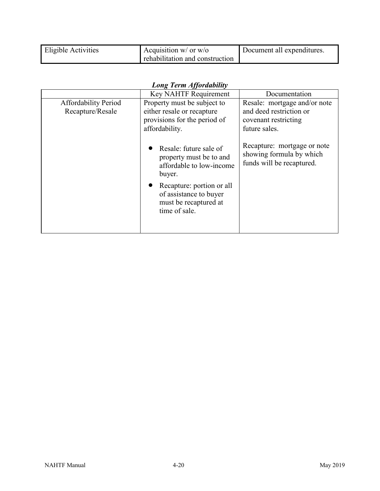| Eligible Activities | Acquisition $w/$ or $w$ /o      | Document all expenditures. |
|---------------------|---------------------------------|----------------------------|
|                     | rehabilitation and construction |                            |

|  | <b>Long Term Affordability</b> |  |
|--|--------------------------------|--|
|  |                                |  |

|                                                 | Key NAHTF Requirement                                                                                                                                                                    | Documentation                                                                                    |
|-------------------------------------------------|------------------------------------------------------------------------------------------------------------------------------------------------------------------------------------------|--------------------------------------------------------------------------------------------------|
| <b>Affordability Period</b><br>Recapture/Resale | Property must be subject to<br>either resale or recapture<br>provisions for the period of<br>affordability.                                                                              | Resale: mortgage and/or note<br>and deed restriction or<br>covenant restricting<br>future sales. |
|                                                 | Resale: future sale of<br>property must be to and<br>affordable to low-income<br>buyer.<br>Recapture: portion or all<br>of assistance to buyer<br>must be recaptured at<br>time of sale. | Recapture: mortgage or note<br>showing formula by which<br>funds will be recaptured.             |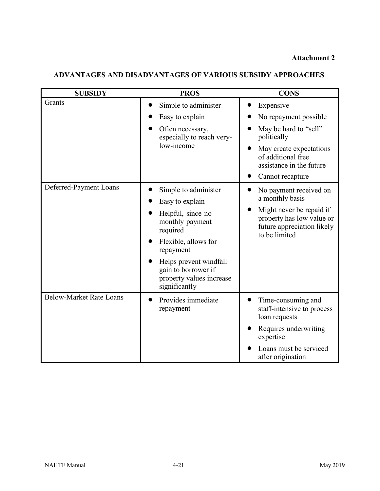#### **Attachment 2**

| <b>SUBSIDY</b>                 | <b>PROS</b>                                                                                                                                                                                                                    | <b>CONS</b>                                                                                                                                                                              |
|--------------------------------|--------------------------------------------------------------------------------------------------------------------------------------------------------------------------------------------------------------------------------|------------------------------------------------------------------------------------------------------------------------------------------------------------------------------------------|
| Grants                         | Simple to administer<br>Easy to explain<br>Often necessary,<br>especially to reach very-<br>low-income                                                                                                                         | Expensive<br>No repayment possible<br>May be hard to "sell"<br>politically<br>May create expectations<br>of additional free<br>assistance in the future<br>Cannot recapture<br>$\bullet$ |
| Deferred-Payment Loans         | Simple to administer<br>Easy to explain<br>Helpful, since no<br>monthly payment<br>required<br>Flexible, allows for<br>repayment<br>Helps prevent windfall<br>gain to borrower if<br>property values increase<br>significantly | No payment received on<br>a monthly basis<br>Might never be repaid if<br>property has low value or<br>future appreciation likely<br>to be limited                                        |
| <b>Below-Market Rate Loans</b> | Provides immediate<br>repayment                                                                                                                                                                                                | Time-consuming and<br>staff-intensive to process<br>loan requests<br>Requires underwriting<br>expertise<br>Loans must be serviced<br>after origination                                   |

# **ADVANTAGES AND DISADVANTAGES OF VARIOUS SUBSIDY APPROACHES**